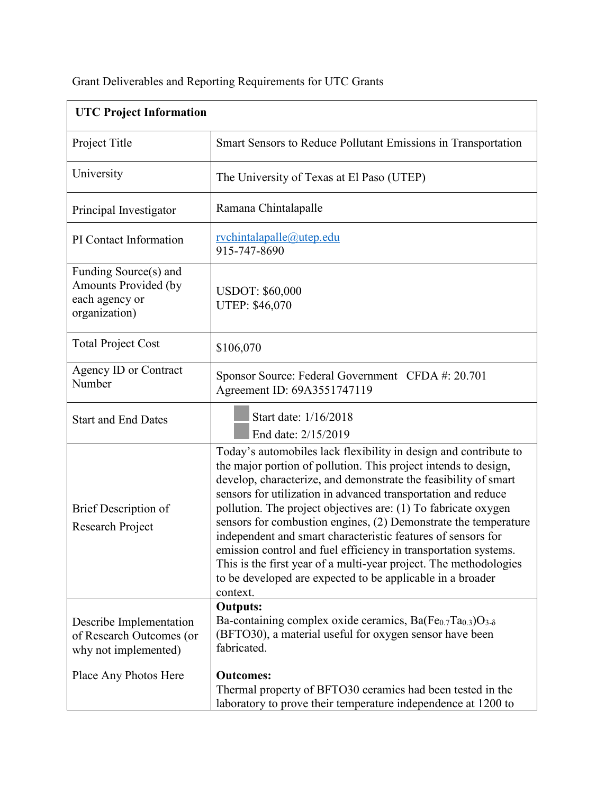| <b>UTC Project Information</b>                                                   |                                                                                                                                                                                                                                                                                                                                                                                                                                                                                                                                                                                                                                                                                                |
|----------------------------------------------------------------------------------|------------------------------------------------------------------------------------------------------------------------------------------------------------------------------------------------------------------------------------------------------------------------------------------------------------------------------------------------------------------------------------------------------------------------------------------------------------------------------------------------------------------------------------------------------------------------------------------------------------------------------------------------------------------------------------------------|
| Project Title                                                                    | Smart Sensors to Reduce Pollutant Emissions in Transportation                                                                                                                                                                                                                                                                                                                                                                                                                                                                                                                                                                                                                                  |
| University                                                                       | The University of Texas at El Paso (UTEP)                                                                                                                                                                                                                                                                                                                                                                                                                                                                                                                                                                                                                                                      |
| Principal Investigator                                                           | Ramana Chintalapalle                                                                                                                                                                                                                                                                                                                                                                                                                                                                                                                                                                                                                                                                           |
| PI Contact Information                                                           | rvchintalapalle@utep.edu<br>915-747-8690                                                                                                                                                                                                                                                                                                                                                                                                                                                                                                                                                                                                                                                       |
| Funding Source(s) and<br>Amounts Provided (by<br>each agency or<br>organization) | <b>USDOT: \$60,000</b><br><b>UTEP: \$46,070</b>                                                                                                                                                                                                                                                                                                                                                                                                                                                                                                                                                                                                                                                |
| <b>Total Project Cost</b>                                                        | \$106,070                                                                                                                                                                                                                                                                                                                                                                                                                                                                                                                                                                                                                                                                                      |
| <b>Agency ID or Contract</b><br>Number                                           | Sponsor Source: Federal Government CFDA #: 20.701<br>Agreement ID: 69A3551747119                                                                                                                                                                                                                                                                                                                                                                                                                                                                                                                                                                                                               |
| <b>Start and End Dates</b>                                                       | Start date: 1/16/2018<br>End date: 2/15/2019                                                                                                                                                                                                                                                                                                                                                                                                                                                                                                                                                                                                                                                   |
| Brief Description of<br>Research Project                                         | Today's automobiles lack flexibility in design and contribute to<br>the major portion of pollution. This project intends to design,<br>develop, characterize, and demonstrate the feasibility of smart<br>sensors for utilization in advanced transportation and reduce<br>pollution. The project objectives are: (1) To fabricate oxygen<br>sensors for combustion engines, (2) Demonstrate the temperature<br>independent and smart characteristic features of sensors for<br>emission control and fuel efficiency in transportation systems.<br>This is the first year of a multi-year project. The methodologies<br>to be developed are expected to be applicable in a broader<br>context. |
| Describe Implementation<br>of Research Outcomes (or<br>why not implemented)      | <b>Outputs:</b><br>Ba-containing complex oxide ceramics, $Ba(Fe_{0.7}Ta_{0.3})O_{3-\delta}$<br>(BFTO30), a material useful for oxygen sensor have been<br>fabricated.                                                                                                                                                                                                                                                                                                                                                                                                                                                                                                                          |
| Place Any Photos Here                                                            | <b>Outcomes:</b><br>Thermal property of BFTO30 ceramics had been tested in the<br>laboratory to prove their temperature independence at 1200 to                                                                                                                                                                                                                                                                                                                                                                                                                                                                                                                                                |

Grant Deliverables and Reporting Requirements for UTC Grants